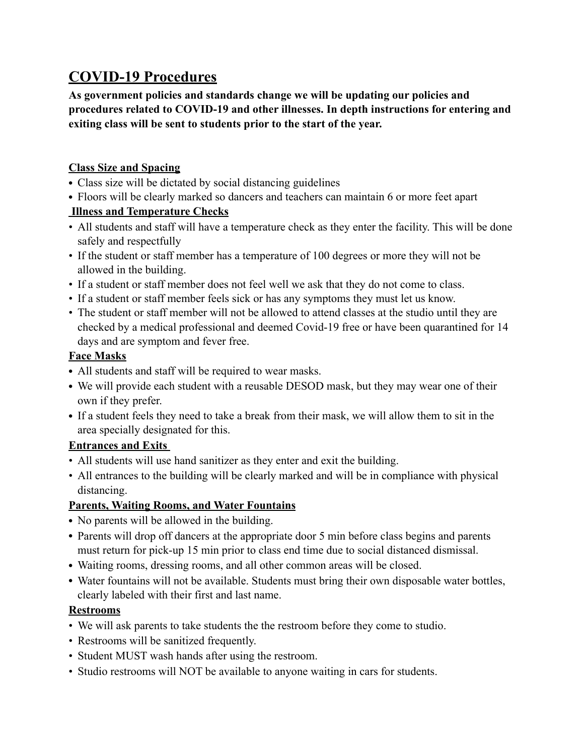# **COVID-19 Procedures**

**As government policies and standards change we will be updating our policies and procedures related to COVID-19 and other illnesses. In depth instructions for entering and exiting class will be sent to students prior to the start of the year.** 

## **Class Size and Spacing**

- Class size will be dictated by social distancing guidelines
- Floors will be clearly marked so dancers and teachers can maintain 6 or more feet apart

## **Illness and Temperature Checks**

- All students and staff will have a temperature check as they enter the facility. This will be done safely and respectfully
- If the student or staff member has a temperature of 100 degrees or more they will not be allowed in the building.
- If a student or staff member does not feel well we ask that they do not come to class.
- If a student or staff member feels sick or has any symptoms they must let us know.
- The student or staff member will not be allowed to attend classes at the studio until they are checked by a medical professional and deemed Covid-19 free or have been quarantined for 14 days and are symptom and fever free.

## **Face Masks**

- All students and staff will be required to wear masks.
- We will provide each student with a reusable DESOD mask, but they may wear one of their own if they prefer.
- If a student feels they need to take a break from their mask, we will allow them to sit in the area specially designated for this.

## **Entrances and Exits**

- All students will use hand sanitizer as they enter and exit the building.
- All entrances to the building will be clearly marked and will be in compliance with physical distancing.

## **Parents, Waiting Rooms, and Water Fountains**

- No parents will be allowed in the building.
- Parents will drop off dancers at the appropriate door 5 min before class begins and parents must return for pick-up 15 min prior to class end time due to social distanced dismissal.
- Waiting rooms, dressing rooms, and all other common areas will be closed.
- Water fountains will not be available. Students must bring their own disposable water bottles, clearly labeled with their first and last name.

## **Restrooms**

- We will ask parents to take students the the restroom before they come to studio.
- Restrooms will be sanitized frequently.
- Student MUST wash hands after using the restroom.
- Studio restrooms will NOT be available to anyone waiting in cars for students.